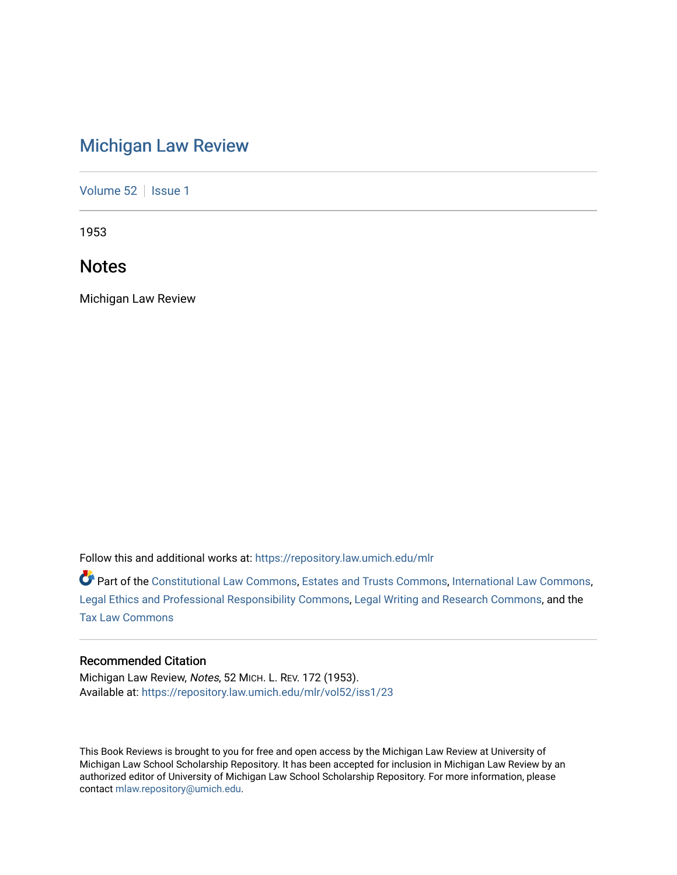# [Michigan Law Review](https://repository.law.umich.edu/mlr)

[Volume 52](https://repository.law.umich.edu/mlr/vol52) | [Issue 1](https://repository.law.umich.edu/mlr/vol52/iss1)

1953

# **Notes**

Michigan Law Review

Follow this and additional works at: [https://repository.law.umich.edu/mlr](https://repository.law.umich.edu/mlr?utm_source=repository.law.umich.edu%2Fmlr%2Fvol52%2Fiss1%2F23&utm_medium=PDF&utm_campaign=PDFCoverPages) 

Part of the [Constitutional Law Commons,](http://network.bepress.com/hgg/discipline/589?utm_source=repository.law.umich.edu%2Fmlr%2Fvol52%2Fiss1%2F23&utm_medium=PDF&utm_campaign=PDFCoverPages) [Estates and Trusts Commons,](http://network.bepress.com/hgg/discipline/906?utm_source=repository.law.umich.edu%2Fmlr%2Fvol52%2Fiss1%2F23&utm_medium=PDF&utm_campaign=PDFCoverPages) [International Law Commons](http://network.bepress.com/hgg/discipline/609?utm_source=repository.law.umich.edu%2Fmlr%2Fvol52%2Fiss1%2F23&utm_medium=PDF&utm_campaign=PDFCoverPages), [Legal Ethics and Professional Responsibility Commons](http://network.bepress.com/hgg/discipline/895?utm_source=repository.law.umich.edu%2Fmlr%2Fvol52%2Fiss1%2F23&utm_medium=PDF&utm_campaign=PDFCoverPages), [Legal Writing and Research Commons](http://network.bepress.com/hgg/discipline/614?utm_source=repository.law.umich.edu%2Fmlr%2Fvol52%2Fiss1%2F23&utm_medium=PDF&utm_campaign=PDFCoverPages), and the [Tax Law Commons](http://network.bepress.com/hgg/discipline/898?utm_source=repository.law.umich.edu%2Fmlr%2Fvol52%2Fiss1%2F23&utm_medium=PDF&utm_campaign=PDFCoverPages)

## Recommended Citation

Michigan Law Review, Notes, 52 MICH. L. REV. 172 (1953). Available at: [https://repository.law.umich.edu/mlr/vol52/iss1/23](https://repository.law.umich.edu/mlr/vol52/iss1/23?utm_source=repository.law.umich.edu%2Fmlr%2Fvol52%2Fiss1%2F23&utm_medium=PDF&utm_campaign=PDFCoverPages) 

This Book Reviews is brought to you for free and open access by the Michigan Law Review at University of Michigan Law School Scholarship Repository. It has been accepted for inclusion in Michigan Law Review by an authorized editor of University of Michigan Law School Scholarship Repository. For more information, please contact [mlaw.repository@umich.edu](mailto:mlaw.repository@umich.edu).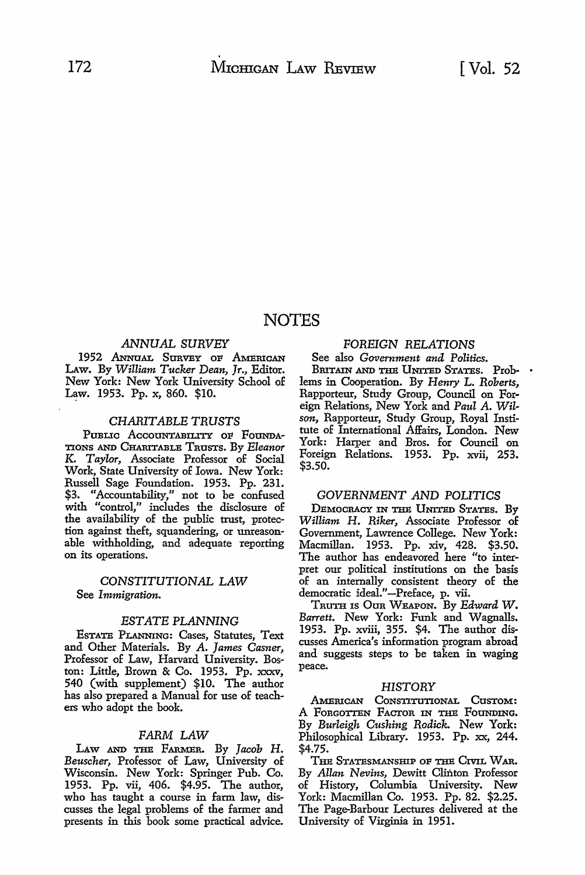# NOTES

### *ANNUAL SURVEY*

1952 Annual Survey of American LAw. By *William Tucker Dean, Jr.,* Editor. New York: New York University School of Law. 1953. Pp. x, 860. \$10.

### *CHARITABLE TRUSTS*

PUBLIC ACCOUNTABILITY OF FOUNDA-TIONS AND CHARITABLE TRUSTS. By *Eleanor* K. *Taylor,* Associate Professor of Social Work, State University of Iowa. New York: Russell Sage Foundation. 1953. Pp. 231. \$3. "Accountability," not to be confused with "control," includes the disclosure of the availability of the public trust, protection against theft, squandering, or umeasonable withholding, and adequate reporting on its operations.

### *CONSTITUTIONAL LAW*  See *Immigration.*

### *ESTATE PLANNING*

EsTATE PLANNING: Cases, Statutes, Text and Other Materials. By A. *James Casner,*  Professor of Law, Harvard University. Boston: Little, Brown & Co. 1953. Pp. xxxv, 540 (with supplement) \$10. The author has also prepared a Manual for use of teachers who adopt the book.

### *FARM LAW*

LAW AND THE FARMER. By *Jacob H*. *Beuscher,* Professor of Law, University of Wisconsin. New York: Springer Pub. Co. 1953. Pp. vii, 406. \$4.95. The author, who has taught a course in farm law, discusses the legal problems of the farmer and presents in this book some practical advice.

## FOREIGN *RELATIONS*

See also *Government and Politics*. BRITAIN AND THE UNITED STATES. Prob- . lems in Cooperation. By *Henry* L. *Roberts,*  Rapporteur, Study Group, Council on Foreign Relations, New York and *Paul* A. *Wilson,* Rapporteur, Study Group, Royal Insti-

tute of International Affairs, London. New York: Harper and Bros. for Council on Foreign Relations. 1953. Pp. xvii, 253. \$3.50.

### *GOVERNMENT AND POLITICS*

DEMOCRACY IN THE UNITED STATES. By *William* H. *Riker,* Associate Professor of Government, Lawrence College. New York: Macmillan. 1953. Pp. xiv, 428. \$3.50. The author has endeavored here "to interpret our political institutions on the basis of an internally consistent theory of the democratic ideal."-Preface, p. vii.

TRUTH IS OuR WEAPON. By *Edward W. Barrett.* New York: Funk and Wagnalls. 1953. Pp. xviii, 355. \$4. The author discusses America's information program abroad and suggests steps to be taken in waging peace.

### *HISTORY*

AMERICAN CONSTITUTIONAL CUSTOM: A FORGOTTEN FACTOR IN THE FOUNDING. By *Burleigh Cushing Rodick.* New York: Philosophical Library. 1953. Pp. xx, 244. \$4.75.

THE STATESMANSHIP OF THE CIVIL WAR. By *Allan Nevins,* Dewitt Clinton Professor of History, Columbia University. New York: Macmillan Co. 1953. Pp. 82. \$2.25. The Page-Barbour Lectures delivered at the University of Virginia in 1951.